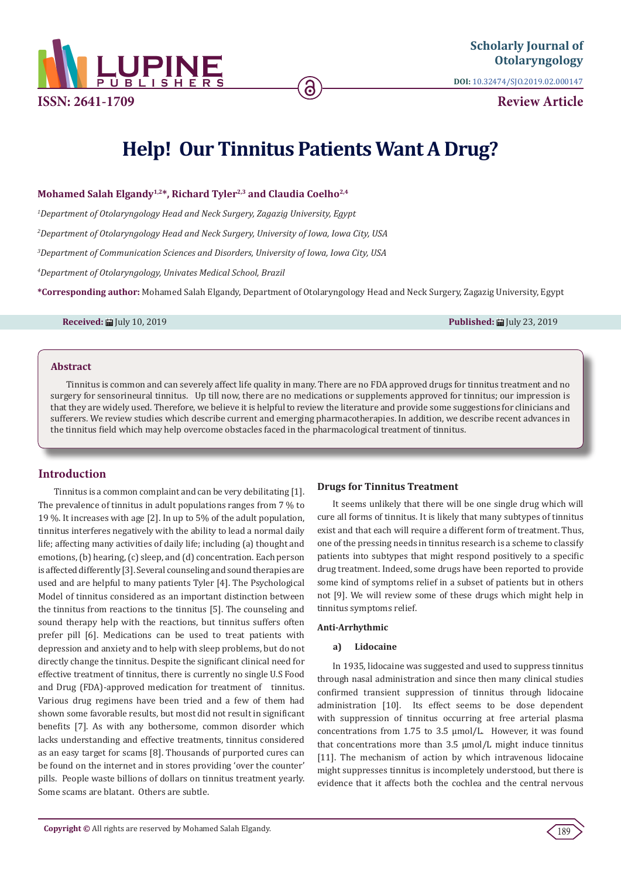

**ISSN: 2641-1709**

**DOI:** [10.32474/SJO.2019.02.000147](http://dx.doi.org/10.32474/SJO.2019.02.000147)

**Review Article**

# **Help! Our Tinnitus Patients Want A Drug?**

Mohamed Salah Elgandy<sup>1,2\*</sup>, Richard Tyler<sup>2,3</sup> and Claudia Coelho<sup>2,4</sup>

*1 Department of Otolaryngology Head and Neck Surgery, Zagazig University, Egypt 2 Department of Otolaryngology Head and Neck Surgery, University of Iowa, Iowa City, USA 3 Department of Communication Sciences and Disorders, University of Iowa, Iowa City, USA*

*4 Department of Otolaryngology, Univates Medical School, Brazil*

**\*Corresponding author:** Mohamed Salah Elgandy, Department of Otolaryngology Head and Neck Surgery, Zagazig University, Egypt

**Received:** July 10, 2019 **Published:** July 23, 2019

## **Abstract**

Tinnitus is common and can severely affect life quality in many. There are no FDA approved drugs for tinnitus treatment and no surgery for sensorineural tinnitus. Up till now, there are no medications or supplements approved for tinnitus; our impression is that they are widely used. Therefore, we believe it is helpful to review the literature and provide some suggestions for clinicians and sufferers. We review studies which describe current and emerging pharmacotherapies. In addition, we describe recent advances in the tinnitus field which may help overcome obstacles faced in the pharmacological treatment of tinnitus.

# **Introduction**

Tinnitus is a common complaint and can be very debilitating [1]. The prevalence of tinnitus in adult populations ranges from 7 % to 19 %. It increases with age [2]. In up to 5% of the adult population, tinnitus interferes negatively with the ability to lead a normal daily life; affecting many activities of daily life; including (a) thought and emotions, (b) hearing, (c) sleep, and (d) concentration. Each person is affected differently [3]. Several counseling and sound therapies are used and are helpful to many patients Tyler [4]. The Psychological Model of tinnitus considered as an important distinction between the tinnitus from reactions to the tinnitus [5]. The counseling and sound therapy help with the reactions, but tinnitus suffers often prefer pill [6]. Medications can be used to treat patients with depression and anxiety and to help with sleep problems, but do not directly change the tinnitus. Despite the significant clinical need for effective treatment of tinnitus, there is currently no single U.S Food and Drug (FDA)-approved medication for treatment of tinnitus. Various drug regimens have been tried and a few of them had shown some favorable results, but most did not result in significant benefits [7]. As with any bothersome, common disorder which lacks understanding and effective treatments, tinnitus considered as an easy target for scams [8]. Thousands of purported cures can be found on the internet and in stores providing 'over the counter' pills. People waste billions of dollars on tinnitus treatment yearly. Some scams are blatant. Others are subtle.

## **Drugs for Tinnitus Treatment**

It seems unlikely that there will be one single drug which will cure all forms of tinnitus. It is likely that many subtypes of tinnitus exist and that each will require a different form of treatment. Thus, one of the pressing needs in tinnitus research is a scheme to classify patients into subtypes that might respond positively to a specific drug treatment. Indeed, some drugs have been reported to provide some kind of symptoms relief in a subset of patients but in others not [9]. We will review some of these drugs which might help in tinnitus symptoms relief.

#### **Anti-Arrhythmic**

## **a) Lidocaine**

In 1935, lidocaine was suggested and used to suppress tinnitus through nasal administration and since then many clinical studies confirmed transient suppression of tinnitus through lidocaine administration [10]. Its effect seems to be dose dependent with suppression of tinnitus occurring at free arterial plasma concentrations from 1.75 to 3.5 μmol/L. However, it was found that concentrations more than 3.5 μmol/L might induce tinnitus [11]. The mechanism of action by which intravenous lidocaine might suppresses tinnitus is incompletely understood, but there is evidence that it affects both the cochlea and the central nervous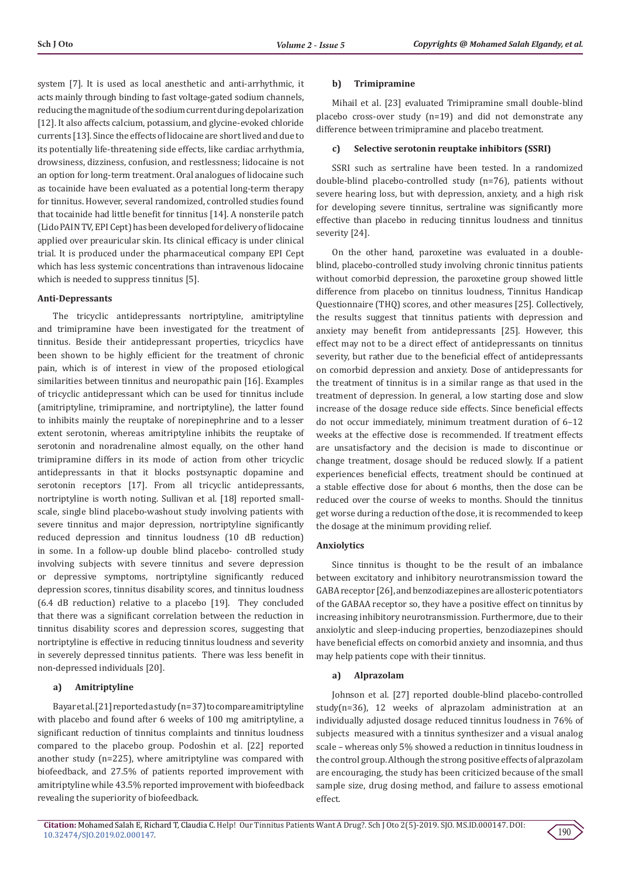system [7]. It is used as local anesthetic and anti-arrhythmic, it acts mainly through binding to fast voltage-gated sodium channels, reducing the magnitude of the sodium current during depolarization [12]. It also affects calcium, potassium, and glycine-evoked chloride currents [13]. Since the effects of lidocaine are short lived and due to its potentially life-threatening side effects, like cardiac arrhythmia, drowsiness, dizziness, confusion, and restlessness; lidocaine is not an option for long-term treatment. Oral analogues of lidocaine such as tocainide have been evaluated as a potential long-term therapy for tinnitus. However, several randomized, controlled studies found that tocainide had little benefit for tinnitus [14]. A nonsterile patch (Lido PAIN TV, EPI Cept) has been developed for delivery of lidocaine applied over preauricular skin. Its clinical efficacy is under clinical trial. It is produced under the pharmaceutical company EPI Cept which has less systemic concentrations than intravenous lidocaine which is needed to suppress tinnitus [5].

#### **Anti-Depressants**

The tricyclic antidepressants nortriptyline, amitriptyline and trimipramine have been investigated for the treatment of tinnitus. Beside their antidepressant properties, tricyclics have been shown to be highly efficient for the treatment of chronic pain, which is of interest in view of the proposed etiological similarities between tinnitus and neuropathic pain [16]. Examples of tricyclic antidepressant which can be used for tinnitus include (amitriptyline, trimipramine, and nortriptyline), the latter found to inhibits mainly the reuptake of norepinephrine and to a lesser extent serotonin, whereas amitriptyline inhibits the reuptake of serotonin and noradrenaline almost equally, on the other hand trimipramine differs in its mode of action from other tricyclic antidepressants in that it blocks postsynaptic dopamine and serotonin receptors [17]. From all tricyclic antidepressants, nortriptyline is worth noting. Sullivan et al. [18] reported smallscale, single blind placebo-washout study involving patients with severe tinnitus and major depression, nortriptyline significantly reduced depression and tinnitus loudness (10 dB reduction) in some. In a follow-up double blind placebo- controlled study involving subjects with severe tinnitus and severe depression or depressive symptoms, nortriptyline significantly reduced depression scores, tinnitus disability scores, and tinnitus loudness (6.4 dB reduction) relative to a placebo [19]. They concluded that there was a significant correlation between the reduction in tinnitus disability scores and depression scores, suggesting that nortriptyline is effective in reducing tinnitus loudness and severity in severely depressed tinnitus patients. There was less benefit in non-depressed individuals [20].

#### **a) Amitriptyline**

Bayar et al. [21] reported a study (n= 37) to compare amitriptyline with placebo and found after 6 weeks of 100 mg amitriptyline, a significant reduction of tinnitus complaints and tinnitus loudness compared to the placebo group. Podoshin et al. [22] reported another study (n=225), where amitriptyline was compared with biofeedback, and 27.5% of patients reported improvement with amitriptyline while 43.5% reported improvement with biofeedback revealing the superiority of biofeedback.

#### **b) Trimipramine**

Mihail et al. [23] evaluated Trimipramine small double-blind placebo cross-over study (n=19) and did not demonstrate any difference between trimipramine and placebo treatment.

#### **c) Selective serotonin reuptake inhibitors (SSRI)**

SSRI such as sertraline have been tested. In a randomized double-blind placebo-controlled study (n=76), patients without severe hearing loss, but with depression, anxiety, and a high risk for developing severe tinnitus, sertraline was significantly more effective than placebo in reducing tinnitus loudness and tinnitus severity [24].

On the other hand, paroxetine was evaluated in a doubleblind, placebo-controlled study involving chronic tinnitus patients without comorbid depression, the paroxetine group showed little difference from placebo on tinnitus loudness, Tinnitus Handicap Questionnaire (THQ) scores, and other measures [25]. Collectively, the results suggest that tinnitus patients with depression and anxiety may benefit from antidepressants [25]. However, this effect may not to be a direct effect of antidepressants on tinnitus severity, but rather due to the beneficial effect of antidepressants on comorbid depression and anxiety. Dose of antidepressants for the treatment of tinnitus is in a similar range as that used in the treatment of depression. In general, a low starting dose and slow increase of the dosage reduce side effects. Since beneficial effects do not occur immediately, minimum treatment duration of 6–12 weeks at the effective dose is recommended. If treatment effects are unsatisfactory and the decision is made to discontinue or change treatment, dosage should be reduced slowly. If a patient experiences beneficial effects, treatment should be continued at a stable effective dose for about 6 months, then the dose can be reduced over the course of weeks to months. Should the tinnitus get worse during a reduction of the dose, it is recommended to keep the dosage at the minimum providing relief.

## **Anxiolytics**

Since tinnitus is thought to be the result of an imbalance between excitatory and inhibitory neurotransmission toward the GABA receptor [26], and benzodiazepines are allosteric potentiators of the GABAA receptor so, they have a positive effect on tinnitus by increasing inhibitory neurotransmission. Furthermore, due to their anxiolytic and sleep-inducing properties, benzodiazepines should have beneficial effects on comorbid anxiety and insomnia, and thus may help patients cope with their tinnitus.

#### **a) Alprazolam**

Johnson et al. [27] reported double-blind placebo-controlled study(n=36), 12 weeks of alprazolam administration at an individually adjusted dosage reduced tinnitus loudness in 76% of subjects measured with a tinnitus synthesizer and a visual analog scale – whereas only 5% showed a reduction in tinnitus loudness in the control group. Although the strong positive effects of alprazolam are encouraging, the study has been criticized because of the small sample size, drug dosing method, and failure to assess emotional effect.

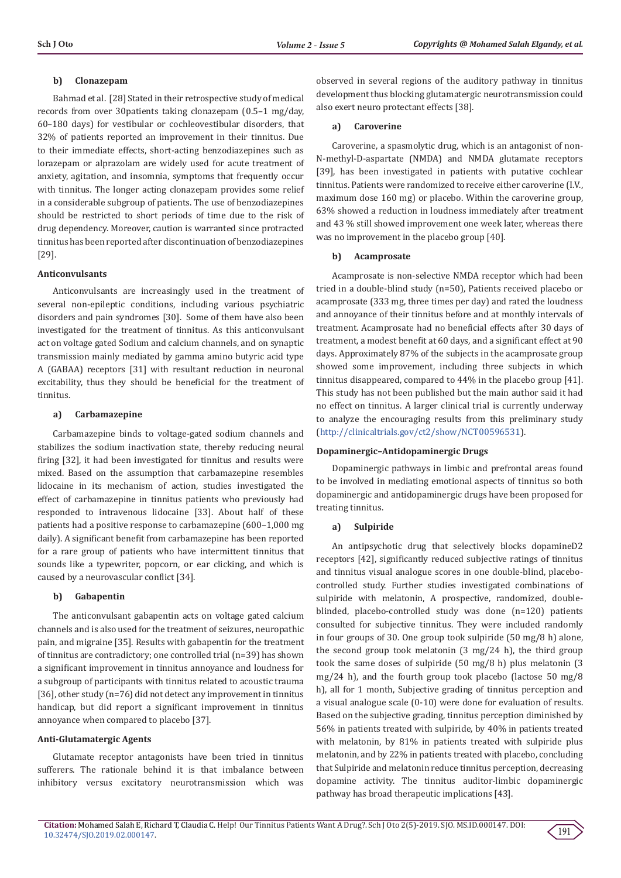#### **b) Clonazepam**

Bahmad et al. [28] Stated in their retrospective study of medical records from over 30patients taking clonazepam (0.5–1 mg/day, 60–180 days) for vestibular or cochleovestibular disorders, that 32% of patients reported an improvement in their tinnitus. Due to their immediate effects, short-acting benzodiazepines such as lorazepam or alprazolam are widely used for acute treatment of anxiety, agitation, and insomnia, symptoms that frequently occur with tinnitus. The longer acting clonazepam provides some relief in a considerable subgroup of patients. The use of benzodiazepines should be restricted to short periods of time due to the risk of drug dependency. Moreover, caution is warranted since protracted tinnitus has been reported after discontinuation of benzodiazepines [29].

#### **Anticonvulsants**

Anticonvulsants are increasingly used in the treatment of several non-epileptic conditions, including various psychiatric disorders and pain syndromes [30]. Some of them have also been investigated for the treatment of tinnitus. As this anticonvulsant act on voltage gated Sodium and calcium channels, and on synaptic transmission mainly mediated by gamma amino butyric acid type A (GABAA) receptors [31] with resultant reduction in neuronal excitability, thus they should be beneficial for the treatment of tinnitus.

#### **a) Carbamazepine**

Carbamazepine binds to voltage-gated sodium channels and stabilizes the sodium inactivation state, thereby reducing neural firing [32], it had been investigated for tinnitus and results were mixed. Based on the assumption that carbamazepine resembles lidocaine in its mechanism of action, studies investigated the effect of carbamazepine in tinnitus patients who previously had responded to intravenous lidocaine [33]. About half of these patients had a positive response to carbamazepine (600–1,000 mg daily). A significant benefit from carbamazepine has been reported for a rare group of patients who have intermittent tinnitus that sounds like a typewriter, popcorn, or ear clicking, and which is caused by a neurovascular conflict [34].

#### **b) Gabapentin**

The anticonvulsant gabapentin acts on voltage gated calcium channels and is also used for the treatment of seizures, neuropathic pain, and migraine [35]. Results with gabapentin for the treatment of tinnitus are contradictory; one controlled trial (n=39) has shown a significant improvement in tinnitus annoyance and loudness for a subgroup of participants with tinnitus related to acoustic trauma [36], other study (n=76) did not detect any improvement in tinnitus handicap, but did report a significant improvement in tinnitus annoyance when compared to placebo [37].

#### **Anti-Glutamatergic Agents**

Glutamate receptor antagonists have been tried in tinnitus sufferers. The rationale behind it is that imbalance between inhibitory versus excitatory neurotransmission which was

observed in several regions of the auditory pathway in tinnitus development thus blocking glutamatergic neurotransmission could also exert neuro protectant effects [38].

#### **a) Caroverine**

Caroverine, a spasmolytic drug, which is an antagonist of non-N-methyl-D-aspartate (NMDA) and NMDA glutamate receptors [39], has been investigated in patients with putative cochlear tinnitus. Patients were randomized to receive either caroverine (I.V., maximum dose 160 mg) or placebo. Within the caroverine group, 63% showed a reduction in loudness immediately after treatment and 43 % still showed improvement one week later, whereas there was no improvement in the placebo group [40].

#### **b) Acamprosate**

Acamprosate is non-selective NMDA receptor which had been tried in a double-blind study (n=50), Patients received placebo or acamprosate (333 mg, three times per day) and rated the loudness and annoyance of their tinnitus before and at monthly intervals of treatment. Acamprosate had no beneficial effects after 30 days of treatment, a modest benefit at 60 days, and a significant effect at 90 days. Approximately 87% of the subjects in the acamprosate group showed some improvement, including three subjects in which tinnitus disappeared, compared to 44% in the placebo group [41]. This study has not been published but the main author said it had no effect on tinnitus. A larger clinical trial is currently underway to analyze the encouraging results from this preliminary study [\(http://clinicaltrials.gov/ct2/show/NCT00596531](http://clinicaltrials.gov/ct2/show/NCT00596531)).

#### **Dopaminergic–Antidopaminergic Drugs**

Dopaminergic pathways in limbic and prefrontal areas found to be involved in mediating emotional aspects of tinnitus so both dopaminergic and antidopaminergic drugs have been proposed for treating tinnitus.

#### **a) Sulpiride**

An antipsychotic drug that selectively blocks dopamineD2 receptors [42], significantly reduced subjective ratings of tinnitus and tinnitus visual analogue scores in one double-blind, placebocontrolled study. Further studies investigated combinations of sulpiride with melatonin, A prospective, randomized, doubleblinded, placebo-controlled study was done (n=120) patients consulted for subjective tinnitus. They were included randomly in four groups of 30. One group took sulpiride (50 mg/8 h) alone, the second group took melatonin (3 mg/24 h), the third group took the same doses of sulpiride (50 mg/8 h) plus melatonin (3 mg/24 h), and the fourth group took placebo (lactose 50 mg/8 h), all for 1 month, Subjective grading of tinnitus perception and a visual analogue scale (0-10) were done for evaluation of results. Based on the subjective grading, tinnitus perception diminished by 56% in patients treated with sulpiride, by 40% in patients treated with melatonin, by 81% in patients treated with sulpiride plus melatonin, and by 22% in patients treated with placebo, concluding that Sulpiride and melatonin reduce tinnitus perception, decreasing dopamine activity. The tinnitus auditor-limbic dopaminergic pathway has broad therapeutic implications [43].

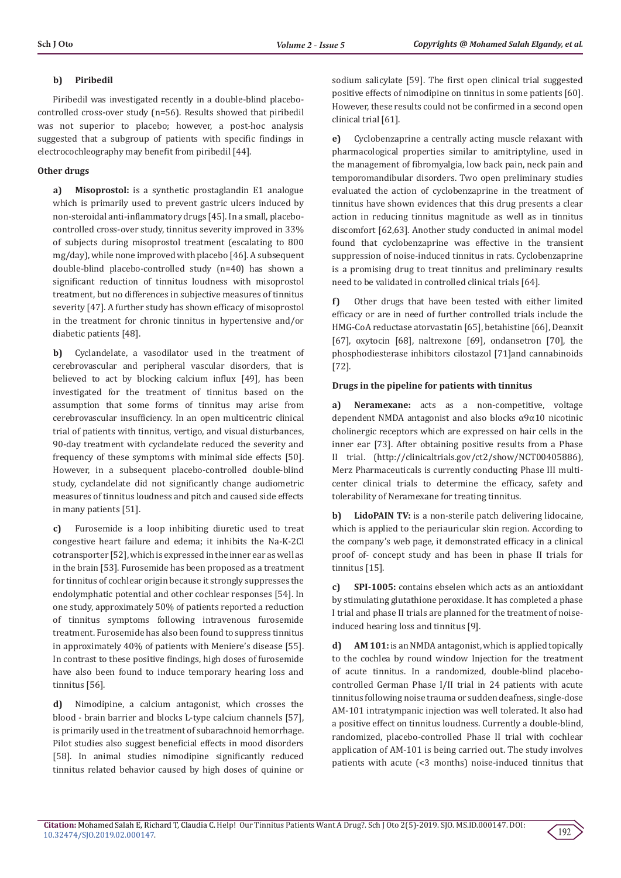## **b) Piribedil**

Piribedil was investigated recently in a double-blind placebocontrolled cross-over study (n=56). Results showed that piribedil was not superior to placebo; however, a post-hoc analysis suggested that a subgroup of patients with specific findings in electrocochleography may benefit from piribedil [44].

## **Other drugs**

**a) Misoprostol:** is a synthetic prostaglandin E1 analogue which is primarily used to prevent gastric ulcers induced by non-steroidal anti-inflammatory drugs [45]. In a small, placebocontrolled cross-over study, tinnitus severity improved in 33% of subjects during misoprostol treatment (escalating to 800 mg/day), while none improved with placebo [46]. A subsequent double-blind placebo-controlled study (n=40) has shown a significant reduction of tinnitus loudness with misoprostol treatment, but no differences in subjective measures of tinnitus severity [47]. A further study has shown efficacy of misoprostol in the treatment for chronic tinnitus in hypertensive and/or diabetic patients [48].

**b)** Cyclandelate, a vasodilator used in the treatment of cerebrovascular and peripheral vascular disorders, that is believed to act by blocking calcium influx [49], has been investigated for the treatment of tinnitus based on the assumption that some forms of tinnitus may arise from cerebrovascular insufficiency. In an open multicentric clinical trial of patients with tinnitus, vertigo, and visual disturbances, 90-day treatment with cyclandelate reduced the severity and frequency of these symptoms with minimal side effects [50]. However, in a subsequent placebo-controlled double-blind study, cyclandelate did not significantly change audiometric measures of tinnitus loudness and pitch and caused side effects in many patients [51].

**c)** Furosemide is a loop inhibiting diuretic used to treat congestive heart failure and edema; it inhibits the Na-K-2Cl cotransporter [52], which is expressed in the inner ear as well as in the brain [53]. Furosemide has been proposed as a treatment for tinnitus of cochlear origin because it strongly suppresses the endolymphatic potential and other cochlear responses [54]. In one study, approximately 50% of patients reported a reduction of tinnitus symptoms following intravenous furosemide treatment. Furosemide has also been found to suppress tinnitus in approximately 40% of patients with Meniere's disease [55]. In contrast to these positive findings, high doses of furosemide have also been found to induce temporary hearing loss and tinnitus [56].

**d)** Nimodipine, a calcium antagonist, which crosses the blood - brain barrier and blocks L-type calcium channels [57], is primarily used in the treatment of subarachnoid hemorrhage. Pilot studies also suggest beneficial effects in mood disorders [58]. In animal studies nimodipine significantly reduced tinnitus related behavior caused by high doses of quinine or sodium salicylate [59]. The first open clinical trial suggested positive effects of nimodipine on tinnitus in some patients [60]. However, these results could not be confirmed in a second open clinical trial [61].

**e)** Cyclobenzaprine a centrally acting muscle relaxant with pharmacological properties similar to amitriptyline, used in the management of fibromyalgia, low back pain, neck pain and temporomandibular disorders. Two open preliminary studies evaluated the action of cyclobenzaprine in the treatment of tinnitus have shown evidences that this drug presents a clear action in reducing tinnitus magnitude as well as in tinnitus discomfort [62,63]. Another study conducted in animal model found that cyclobenzaprine was effective in the transient suppression of noise-induced tinnitus in rats. Cyclobenzaprine is a promising drug to treat tinnitus and preliminary results need to be validated in controlled clinical trials [64].

**f)** Other drugs that have been tested with either limited efficacy or are in need of further controlled trials include the HMG-CoA reductase atorvastatin [65], betahistine [66], Deanxit [67], oxytocin [68], naltrexone [69], ondansetron [70], the phosphodiesterase inhibitors cilostazol [71]and cannabinoids [72].

## **Drugs in the pipeline for patients with tinnitus**

**a) Neramexane:** acts as a non-competitive, voltage dependent NMDA antagonist and also blocks α9α10 nicotinic cholinergic receptors which are expressed on hair cells in the inner ear [73]. After obtaining positive results from a Phase II trial. (http://clinicaltrials.gov/ct2/show/NCT00405886), Merz Pharmaceuticals is currently conducting Phase III multicenter clinical trials to determine the efficacy, safety and tolerability of Neramexane for treating tinnitus.

**b) LidoPAIN TV:** is a non-sterile patch delivering lidocaine, which is applied to the periauricular skin region. According to the company's web page, it demonstrated efficacy in a clinical proof of- concept study and has been in phase II trials for tinnitus [15].

**c) SPI-1005:** contains ebselen which acts as an antioxidant by stimulating glutathione peroxidase. It has completed a phase I trial and phase II trials are planned for the treatment of noiseinduced hearing loss and tinnitus [9].

**d) AM 101:** is an NMDA antagonist, which is applied topically to the cochlea by round window Injection for the treatment of acute tinnitus. In a randomized, double-blind placebocontrolled German Phase I/II trial in 24 patients with acute tinnitus following noise trauma or sudden deafness, single-dose AM-101 intratympanic injection was well tolerated. It also had a positive effect on tinnitus loudness. Currently a double-blind, randomized, placebo-controlled Phase II trial with cochlear application of AM-101 is being carried out. The study involves patients with acute (<3 months) noise-induced tinnitus that

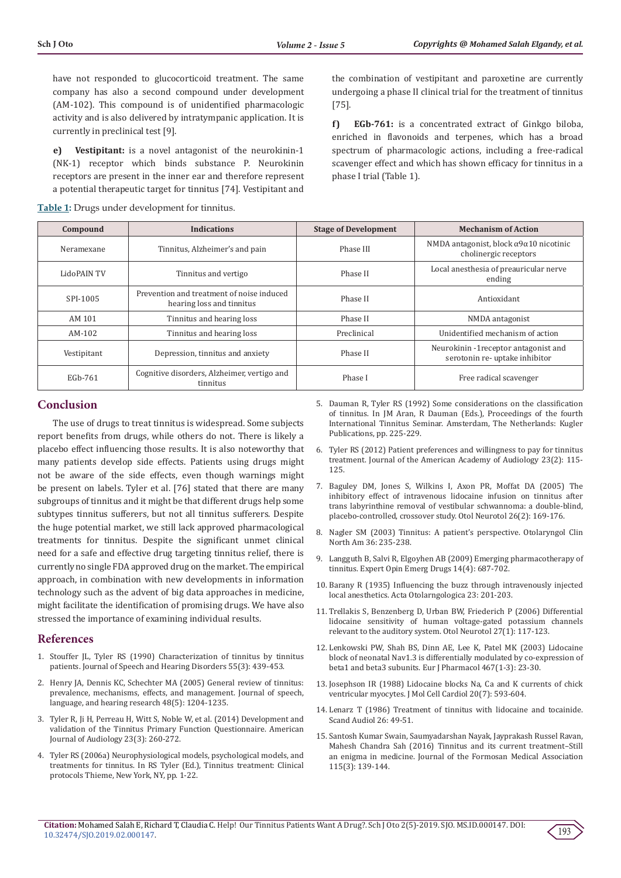have not responded to glucocorticoid treatment. The same company has also a second compound under development (AM-102). This compound is of unidentified pharmacologic activity and is also delivered by intratympanic application. It is currently in preclinical test [9].

**e) Vestipitant:** is a novel antagonist of the neurokinin-1 (NK-1) receptor which binds substance P. Neurokinin receptors are present in the inner ear and therefore represent a potential therapeutic target for tinnitus [74]. Vestipitant and

**Table 1:** Drugs under development for tinnitus.

the combination of vestipitant and paroxetine are currently undergoing a phase II clinical trial for the treatment of tinnitus [75].

**f) EGb-761:** is a concentrated extract of Ginkgo biloba, enriched in flavonoids and terpenes, which has a broad spectrum of pharmacologic actions, including a free-radical scavenger effect and which has shown efficacy for tinnitus in a phase I trial (Table 1).

| Compound    | <b>Indications</b>                                                     | <b>Stage of Development</b> | <b>Mechanism of Action</b>                                                       |
|-------------|------------------------------------------------------------------------|-----------------------------|----------------------------------------------------------------------------------|
| Neramexane  | Tinnitus, Alzheimer's and pain                                         | Phase III                   | NMDA antagonist, block $\alpha$ 9 $\alpha$ 10 nicotinic<br>cholinergic receptors |
| LidoPAIN TV | Tinnitus and vertigo                                                   | Phase II                    | Local anesthesia of preauricular nerve<br>ending                                 |
| SPI-1005    | Prevention and treatment of noise induced<br>hearing loss and tinnitus | Phase II                    | Antioxidant                                                                      |
| AM 101      | Tinnitus and hearing loss                                              | Phase II                    | NMDA antagonist                                                                  |
| AM-102      | Tinnitus and hearing loss                                              | Preclinical                 | Unidentified mechanism of action                                                 |
| Vestipitant | Depression, tinnitus and anxiety                                       | Phase II                    | Neurokinin -1 receptor antagonist and<br>serotonin re- uptake inhibitor          |
| EGb-761     | Cognitive disorders, Alzheimer, vertigo and<br>tinnitus                | Phase I                     | Free radical scavenger                                                           |

# **Conclusion**

The use of drugs to treat tinnitus is widespread. Some subjects report benefits from drugs, while others do not. There is likely a placebo effect influencing those results. It is also noteworthy that many patients develop side effects. Patients using drugs might not be aware of the side effects, even though warnings might be present on labels. Tyler et al. [76] stated that there are many subgroups of tinnitus and it might be that different drugs help some subtypes tinnitus sufferers, but not all tinnitus sufferers. Despite the huge potential market, we still lack approved pharmacological treatments for tinnitus. Despite the significant unmet clinical need for a safe and effective drug targeting tinnitus relief, there is currently no single FDA approved drug on the market. The empirical approach, in combination with new developments in information technology such as the advent of big data approaches in medicine, might facilitate the identification of promising drugs. We have also stressed the importance of examining individual results.

## **References**

- 1. [Stouffer JL, Tyler RS \(1990\) Characterization of tinnitus by tinnitus](https://www.ncbi.nlm.nih.gov/pubmed/2381186)  [patients. Journal of Speech and Hearing Disorders 55\(3\): 439-453.](https://www.ncbi.nlm.nih.gov/pubmed/2381186)
- 2. [Henry JA, Dennis KC, Schechter MA \(2005\) General review of tinnitus:](https://www.ncbi.nlm.nih.gov/pubmed/16411806)  [prevalence, mechanisms, effects, and management. Journal of speech,](https://www.ncbi.nlm.nih.gov/pubmed/16411806)  [language, and hearing research 48\(5\): 1204-1235.](https://www.ncbi.nlm.nih.gov/pubmed/16411806)
- 3. [Tyler R, Ji H, Perreau H, Witt S, Noble W, et al. \(2014\) Development and](https://www.ncbi.nlm.nih.gov/pubmed/24811293)  [validation of the Tinnitus Primary Function Questionnaire. American](https://www.ncbi.nlm.nih.gov/pubmed/24811293)  [Journal of Audiology 23\(3\): 260-272.](https://www.ncbi.nlm.nih.gov/pubmed/24811293)
- 4. [Tyler RS \(2006a\) Neurophysiological models, psychological models, and](http://www.thieme.com/media/samples/pubid1015858858.pdf)  [treatments for tinnitus. In RS Tyler \(Ed.\), Tinnitus treatment: Clinical](http://www.thieme.com/media/samples/pubid1015858858.pdf)  [protocols Thieme, New York, NY, pp. 1-22.](http://www.thieme.com/media/samples/pubid1015858858.pdf)
- 5. [Dauman R, Tyler RS \(1992\) Some considerations on the classification](https://www.researchgate.net/publication/312468345_Some_considerations_on_the_classification_of_tinnitus) [of tinnitus. In JM Aran, R Dauman \(Eds.\), Proceedings of the fourth](https://www.researchgate.net/publication/312468345_Some_considerations_on_the_classification_of_tinnitus) [International Tinnitus Seminar. Amsterdam, The Netherlands: Kugler](https://www.researchgate.net/publication/312468345_Some_considerations_on_the_classification_of_tinnitus) [Publications, pp. 225-229.](https://www.researchgate.net/publication/312468345_Some_considerations_on_the_classification_of_tinnitus)
- 6. [Tyler RS \(2012\) Patient preferences and willingness to pay for tinnitus](https://www.ncbi.nlm.nih.gov/pubmed/22353680) [treatment. Journal of the American Academy of Audiology 23\(2\): 115-](https://www.ncbi.nlm.nih.gov/pubmed/22353680) [125.](https://www.ncbi.nlm.nih.gov/pubmed/22353680)
- 7. [Baguley DM, Jones S, Wilkins I, Axon PR, Moffat DA \(2005\) The](https://www.ncbi.nlm.nih.gov/pubmed/15793400) [inhibitory effect of intravenous lidocaine infusion on tinnitus after](https://www.ncbi.nlm.nih.gov/pubmed/15793400) [trans labyrinthine removal of vestibular schwannoma: a double-blind,](https://www.ncbi.nlm.nih.gov/pubmed/15793400) [placebo-controlled, crossover study. Otol Neurotol 26\(2\): 169-176.](https://www.ncbi.nlm.nih.gov/pubmed/15793400)
- 8. [Nagler SM \(2003\) Tinnitus: A patient's perspective. Otolaryngol Clin](https://www.ncbi.nlm.nih.gov/pubmed/12856293) [North Am 36: 235-238.](https://www.ncbi.nlm.nih.gov/pubmed/12856293)
- 9. [Langguth B, Salvi R, Elgoyhen AB \(2009\) Emerging pharmacotherapy of](https://www.ncbi.nlm.nih.gov/pubmed/19712015) [tinnitus. Expert Opin Emerg Drugs 14\(4\): 687-702.](https://www.ncbi.nlm.nih.gov/pubmed/19712015)
- 10. Barany R (1935) Influencing the buzz through intravenously injected local anesthetics. Acta Otolarngologica 23: 201-203.
- 11. [Trellakis S, Benzenberg D, Urban BW, Friederich P \(2006\) Differential](https://www.ncbi.nlm.nih.gov/pubmed/16371858) [lidocaine sensitivity of human voltage-gated potassium channels](https://www.ncbi.nlm.nih.gov/pubmed/16371858) [relevant to the auditory system. Otol Neurotol 27\(1\): 117-123.](https://www.ncbi.nlm.nih.gov/pubmed/16371858)
- 12. [Lenkowski PW, Shah BS, Dinn AE, Lee K, Patel MK \(2003\) Lidocaine](https://www.ncbi.nlm.nih.gov/pubmed/12706451) [block of neonatal Nav1.3 is differentially modulated by co-expression of](https://www.ncbi.nlm.nih.gov/pubmed/12706451) [beta1 and beta3 subunits. Eur J Pharmacol 467\(1-3\): 23-30.](https://www.ncbi.nlm.nih.gov/pubmed/12706451)
- 13. [Josephson IR \(1988\) Lidocaine blocks Na, Ca and K currents of chick](https://www.ncbi.nlm.nih.gov/pubmed/2459400) [ventricular myocytes. J Mol Cell Cardiol 20\(7\): 593-604.](https://www.ncbi.nlm.nih.gov/pubmed/2459400)
- 14. [Lenarz T \(1986\) Treatment of tinnitus with lidocaine and tocainide.](https://www.ncbi.nlm.nih.gov/pubmed/3107115) [Scand Audiol 26: 49-51.](https://www.ncbi.nlm.nih.gov/pubmed/3107115)
- 15. [Santosh Kumar Swain, Saumyadarshan Nayak, Jayprakash Russel Ravan,](https://www.sciencedirect.com/science/article/pii/S0929664615003848) [Mahesh Chandra Sah \(2016\) Tinnitus and its current treatment–Still](https://www.sciencedirect.com/science/article/pii/S0929664615003848) [an enigma in medicine. Journal of the Formosan Medical Association](https://www.sciencedirect.com/science/article/pii/S0929664615003848) [115\(3\): 139-144.](https://www.sciencedirect.com/science/article/pii/S0929664615003848)

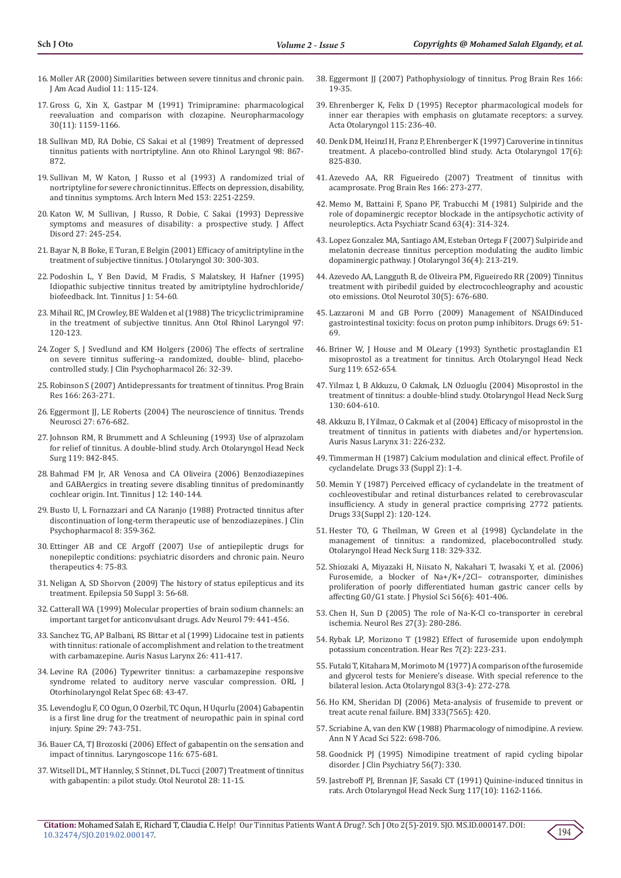- 16. [Moller AR \(2000\) Similarities between severe tinnitus and chronic pain.](https://www.ncbi.nlm.nih.gov/pubmed/10755808)  [J Am Acad Audiol 11: 115-124.](https://www.ncbi.nlm.nih.gov/pubmed/10755808)
- 17. [Gross G, Xin X, Gastpar M \(1991\) Trimipramine: pharmacological](https://www.ncbi.nlm.nih.gov/pubmed/1663593)  [reevaluation and comparison with clozapine. Neuropharmacology](https://www.ncbi.nlm.nih.gov/pubmed/1663593)  [30\(11\): 1159-1166.](https://www.ncbi.nlm.nih.gov/pubmed/1663593)
- 18. [Sullivan MD, RA Dobie, CS Sakai et al \(1989\) Treatment of depressed](https://www.ncbi.nlm.nih.gov/pubmed/2817678)  [tinnitus patients with nortriptyline. Ann oto Rhinol Laryngol 98: 867-](https://www.ncbi.nlm.nih.gov/pubmed/2817678) [872.](https://www.ncbi.nlm.nih.gov/pubmed/2817678)
- 19. [Sullivan M, W Katon, J Russo et al \(1993\) A randomized trial of](https://www.ncbi.nlm.nih.gov/pubmed/8215728)  [nortriptyline for severe chronic tinnitus. Effects on depression, disability,](https://www.ncbi.nlm.nih.gov/pubmed/8215728)  [and tinnitus symptoms. Arch Intern Med 153: 2251-2259.](https://www.ncbi.nlm.nih.gov/pubmed/8215728)
- 20. [Katon W, M Sullivan, J Russo, R Dobie, C Sakai \(1993\) Depressive](https://www.ncbi.nlm.nih.gov/pubmed/8509525)  [symptoms and measures of disability: a prospective study. J Affect](https://www.ncbi.nlm.nih.gov/pubmed/8509525)  [Disord 27: 245-254.](https://www.ncbi.nlm.nih.gov/pubmed/8509525)
- 21. [Bayar N, B Boke, E Turan, E Belgin \(2001\) Efficacy of amitriptyline in the](https://www.ncbi.nlm.nih.gov/pubmed/11771024)  [treatment of subjective tinnitus. J Otolaryngol 30: 300-303.](https://www.ncbi.nlm.nih.gov/pubmed/11771024)
- 22. [Podoshin L, Y Ben David, M Fradis, S Malatskey, H Hafner \(1995\)](https://www.ncbi.nlm.nih.gov/pubmed/10753321)  [Idiopathic subjective tinnitus treated by amitriptyline hydrochloride/](https://www.ncbi.nlm.nih.gov/pubmed/10753321)  [biofeedback. Int. Tinnitus J 1: 54-60.](https://www.ncbi.nlm.nih.gov/pubmed/10753321)
- 23. [Mihail RC, JM Crowley, BE Walden et al \(1988\) The tricyclic trimipramine](https://www.ncbi.nlm.nih.gov/pubmed/3355041)  [in the treatment of subjective tinnitus. Ann Otol Rhinol Laryngol 97:](https://www.ncbi.nlm.nih.gov/pubmed/3355041)  [120-123.](https://www.ncbi.nlm.nih.gov/pubmed/3355041)
- 24. [Zoger S, J Svedlund and KM Holgers \(2006\) The effects of sertraline](https://www.ncbi.nlm.nih.gov/pubmed/16415703)  [on severe tinnitus suffering--a randomized, double- blind, placebo](https://www.ncbi.nlm.nih.gov/pubmed/16415703)[controlled study. J Clin Psychopharmacol 26: 32-39.](https://www.ncbi.nlm.nih.gov/pubmed/16415703)
- 25. [Robinson S \(2007\) Antidepressants for treatment of tinnitus. Prog Brain](https://www.ncbi.nlm.nih.gov/pubmed/17956790)  [Res 166: 263-271.](https://www.ncbi.nlm.nih.gov/pubmed/17956790)
- 26. [Eggermont JJ, LE Roberts \(2004\) The neuroscience of tinnitus. Trends](https://www.ncbi.nlm.nih.gov/pubmed/15474168)  [Neurosci 27: 676-682.](https://www.ncbi.nlm.nih.gov/pubmed/15474168)
- 27. [Johnson RM, R Brummett and A Schleuning \(1993\) Use of alprazolam](https://www.ncbi.nlm.nih.gov/pubmed/8343245)  [for relief of tinnitus. A double-blind study. Arch Otolaryngol Head Neck](https://www.ncbi.nlm.nih.gov/pubmed/8343245)  [Surg 119: 842-845.](https://www.ncbi.nlm.nih.gov/pubmed/8343245)
- 28. [Bahmad FM Jr, AR Venosa and CA Oliveira \(2006\) Benzodiazepines](https://www.ncbi.nlm.nih.gov/pubmed/17260879)  [and GABAergics in treating severe disabling tinnitus of predominantly](https://www.ncbi.nlm.nih.gov/pubmed/17260879)  [cochlear origin. Int. Tinnitus J 12: 140-144.](https://www.ncbi.nlm.nih.gov/pubmed/17260879)
- 29. [Busto U, L Fornazzari and CA Naranjo \(1988\) Protracted tinnitus after](https://www.ncbi.nlm.nih.gov/pubmed/2903182)  [discontinuation of long-term therapeutic use of benzodiazepines. J Clin](https://www.ncbi.nlm.nih.gov/pubmed/2903182)  [Psychopharmacol 8: 359-362.](https://www.ncbi.nlm.nih.gov/pubmed/2903182)
- 30. [Ettinger AB and CE Argoff \(2007\) Use of antiepileptic drugs for](https://www.ncbi.nlm.nih.gov/pubmed/17199018)  [nonepileptic conditions: psychiatric disorders and chronic pain. Neuro](https://www.ncbi.nlm.nih.gov/pubmed/17199018)  [therapeutics 4: 75-83.](https://www.ncbi.nlm.nih.gov/pubmed/17199018)
- 31. [Neligan A, SD Shorvon \(2009\) The history of status epilepticus and its](https://www.ncbi.nlm.nih.gov/pubmed/19298433)  [treatment. Epilepsia 50 Suppl 3: 56-68.](https://www.ncbi.nlm.nih.gov/pubmed/19298433)
- 32. [Catterall WA \(1999\) Molecular properties of brain sodium channels: an](https://www.ncbi.nlm.nih.gov/pubmed/10514834)  [important target for anticonvulsant drugs. Adv Neurol 79: 441-456.](https://www.ncbi.nlm.nih.gov/pubmed/10514834)
- 33. [Sanchez TG, AP Balbani, RS Bittar et al \(1999\) Lidocaine test in patients](https://www.ncbi.nlm.nih.gov/pubmed/10530736)  [with tinnitus: rationale of accomplishment and relation to the treatment](https://www.ncbi.nlm.nih.gov/pubmed/10530736)  [with carbamazepine. Auris Nasus Larynx 26: 411-417.](https://www.ncbi.nlm.nih.gov/pubmed/10530736)
- 34. [Levine RA \(2006\) Typewriter tinnitus: a carbamazepine responsive](https://www.ncbi.nlm.nih.gov/pubmed/16514262)  [syndrome related to auditory nerve vascular compression. ORL J](https://www.ncbi.nlm.nih.gov/pubmed/16514262)  [Otorhinolaryngol Relat Spec 68: 43-47.](https://www.ncbi.nlm.nih.gov/pubmed/16514262)
- 35. [Levendoglu F, CO Ogun, O Ozerbil, TC Oqun, H Uqurlu \(2004\) Gabapentin](https://www.ncbi.nlm.nih.gov/pubmed/15087796)  [is a first line drug for the treatment of neuropathic pain in spinal cord](https://www.ncbi.nlm.nih.gov/pubmed/15087796)  [injury. Spine 29: 743-751.](https://www.ncbi.nlm.nih.gov/pubmed/15087796)
- 36. [Bauer CA, TJ Brozoski \(2006\) Effect of gabapentin on the sensation and](https://www.ncbi.nlm.nih.gov/pubmed/16652071)  [impact of tinnitus. Laryngoscope 116: 675-681.](https://www.ncbi.nlm.nih.gov/pubmed/16652071)
- 37. [Witsell DL, MT Hannley, S Stinnet, DL Tucci \(2007\) Treatment of tinnitus](https://www.ncbi.nlm.nih.gov/pubmed/17106432)  [with gabapentin: a pilot study. Otol Neurotol 28: 11-15.](https://www.ncbi.nlm.nih.gov/pubmed/17106432)
- 38. [Eggermont JJ \(2007\) Pathophysiology of tinnitus. Prog Brain Res 166:](https://www.ncbi.nlm.nih.gov/pubmed/17956768) [19-35.](https://www.ncbi.nlm.nih.gov/pubmed/17956768)
- 39. [Ehrenberger K, Felix D \(1995\) Receptor pharmacological models for](https://www.ncbi.nlm.nih.gov/pubmed/7610812) [inner ear therapies with emphasis on glutamate receptors: a survey.](https://www.ncbi.nlm.nih.gov/pubmed/7610812) [Acta Otolaryngol 115: 236-40.](https://www.ncbi.nlm.nih.gov/pubmed/7610812)
- 40. [Denk DM, Heinzl H, Franz P, Ehrenberger K \(1997\) Caroverine in tinnitus](https://www.ncbi.nlm.nih.gov/pubmed/9442821) [treatment. A placebo-controlled blind study. Acta Otolaryngol 17\(6\):](https://www.ncbi.nlm.nih.gov/pubmed/9442821) [825-830.](https://www.ncbi.nlm.nih.gov/pubmed/9442821)
- 41. [Azevedo AA, RR Figueiredo \(2007\) Treatment of tinnitus with](https://www.ncbi.nlm.nih.gov/pubmed/17956791) [acamprosate. Prog Brain Res 166: 273-277.](https://www.ncbi.nlm.nih.gov/pubmed/17956791)
- 42. [Memo M, Battaini F, Spano PF, Trabucchi M \(1981\) Sulpiride and the](https://www.ncbi.nlm.nih.gov/pubmed/7315480) [role of dopaminergic receptor blockade in the antipsychotic activity of](https://www.ncbi.nlm.nih.gov/pubmed/7315480) [neuroleptics. Acta Psychiatr Scand 63\(4\): 314-324.](https://www.ncbi.nlm.nih.gov/pubmed/7315480)
- 43. [Lopez Gonzalez MA, Santiago AM, Esteban Ortega F \(2007\) Sulpiride and](https://www.ncbi.nlm.nih.gov/pubmed/17942035) [melatonin decrease tinnitus perception modulating the audito limbic](https://www.ncbi.nlm.nih.gov/pubmed/17942035) [dopaminergic pathway. J Otolaryngol 36\(4\): 213-219.](https://www.ncbi.nlm.nih.gov/pubmed/17942035)
- 44. [Azevedo AA, Langguth B, de Oliveira PM, Figueiredo RR \(2009\) Tinnitus](https://www.ncbi.nlm.nih.gov/pubmed/19574947) [treatment with piribedil guided by electrocochleography and acoustic](https://www.ncbi.nlm.nih.gov/pubmed/19574947) [oto emissions. Otol Neurotol 30\(5\): 676-680.](https://www.ncbi.nlm.nih.gov/pubmed/19574947)
- 45. [Lazzaroni M and GB Porro \(2009\) Management of NSAIDinduced](https://www.ncbi.nlm.nih.gov/pubmed/19192936) [gastrointestinal toxicity: focus on proton pump inhibitors. Drugs 69: 51-](https://www.ncbi.nlm.nih.gov/pubmed/19192936) [69.](https://www.ncbi.nlm.nih.gov/pubmed/19192936)
- 46. [Briner W, J House and M OLeary \(1993\) Synthetic prostaglandin E1](https://www.ncbi.nlm.nih.gov/pubmed/8499097) [misoprostol as a treatment for tinnitus. Arch Otolaryngol Head Neck](https://www.ncbi.nlm.nih.gov/pubmed/8499097) [Surg 119: 652-654.](https://www.ncbi.nlm.nih.gov/pubmed/8499097)
- 47. [Yilmaz I, B Akkuzu, O Cakmak, LN Ozluoglu \(2004\) Misoprostol in the](https://www.ncbi.nlm.nih.gov/pubmed/15138428) [treatment of tinnitus: a double-blind study. Otolaryngol Head Neck Surg](https://www.ncbi.nlm.nih.gov/pubmed/15138428) [130: 604-610.](https://www.ncbi.nlm.nih.gov/pubmed/15138428)
- 48. [Akkuzu B, I Yilmaz, O Cakmak et al \(2004\) Efficacy of misoprostol in the](https://www.ncbi.nlm.nih.gov/pubmed/15364356) [treatment of tinnitus in patients with diabetes and/or hypertension.](https://www.ncbi.nlm.nih.gov/pubmed/15364356) [Auris Nasus Larynx 31: 226-232.](https://www.ncbi.nlm.nih.gov/pubmed/15364356)
- 49. [Timmerman H \(1987\) Calcium modulation and clinical effect. Profile of](https://www.ncbi.nlm.nih.gov/pubmed/3622303) [cyclandelate. Drugs 33 \(Suppl 2\): 1-4.](https://www.ncbi.nlm.nih.gov/pubmed/3622303)
- 50. [Memin Y \(1987\) Perceived efficacy of cyclandelate in the treatment of](https://www.ncbi.nlm.nih.gov/pubmed/3497796) [cochleovestibular and retinal disturbances related to cerebrovascular](https://www.ncbi.nlm.nih.gov/pubmed/3497796) [insufficiency. A study in general practice comprising 2772 patients.](https://www.ncbi.nlm.nih.gov/pubmed/3497796) [Drugs 33\(Suppl 2\): 120-124.](https://www.ncbi.nlm.nih.gov/pubmed/3497796)
- 51. [Hester TO, G Theilman, W Green et al \(1998\) Cyclandelate in the](https://www.ncbi.nlm.nih.gov/pubmed/9527112) [management of tinnitus: a randomized, placebocontrolled study.](https://www.ncbi.nlm.nih.gov/pubmed/9527112) [Otolaryngol Head Neck Surg 118: 329-332.](https://www.ncbi.nlm.nih.gov/pubmed/9527112)
- 52. [Shiozaki A, Miyazaki H, Niisato N, Nakahari T, Iwasaki Y, et al. \(2006\)](https://www.ncbi.nlm.nih.gov/pubmed/17052386) [Furosemide, a blocker of Na+/K+/2Cl− cotransporter, diminishes](https://www.ncbi.nlm.nih.gov/pubmed/17052386) [proliferation of poorly differentiated human gastric cancer cells by](https://www.ncbi.nlm.nih.gov/pubmed/17052386) [affecting G0/G1 state. J Physiol Sci 56\(6\): 401-406.](https://www.ncbi.nlm.nih.gov/pubmed/17052386)
- 53. [Chen H, Sun D \(2005\) The role of Na-K-Cl co-transporter in cerebral](https://www.ncbi.nlm.nih.gov/pubmed/15845211) [ischemia. Neurol Res 27\(3\): 280-286.](https://www.ncbi.nlm.nih.gov/pubmed/15845211)
- 54. [Rybak LP, Morizono T \(1982\) Effect of furosemide upon endolymph](https://www.ncbi.nlm.nih.gov/pubmed/6286585) [potassium concentration. Hear Res 7\(2\): 223-231.](https://www.ncbi.nlm.nih.gov/pubmed/6286585)
- 55. [Futaki T, Kitahara M, Morimoto M \(1977\) A comparison of the furosemide](https://www.ncbi.nlm.nih.gov/pubmed/857600) [and glycerol tests for Meniere's disease. With special reference to the](https://www.ncbi.nlm.nih.gov/pubmed/857600) [bilateral lesion. Acta Otolaryngol 83\(3-4\): 272-278.](https://www.ncbi.nlm.nih.gov/pubmed/857600)
- 56. [Ho KM, Sheridan DJ \(2006\) Meta-analysis of frusemide to prevent or](https://www.ncbi.nlm.nih.gov/pubmed/16861256) [treat acute renal failure. BMJ 333\(7565\): 420.](https://www.ncbi.nlm.nih.gov/pubmed/16861256)
- 57. [Scriabine A, van den KW \(1988\) Pharmacology of nimodipine. A review.](https://www.ncbi.nlm.nih.gov/pubmed/3288065) [Ann N Y Acad Sci 522: 698-706.](https://www.ncbi.nlm.nih.gov/pubmed/3288065)
- 58. [Goodnick PJ \(1995\) Nimodipine treatment of rapid cycling bipolar](https://psycnet.apa.org/record/1995-44823-001) [disorder. J Clin Psychiatry 56\(7\): 330.](https://psycnet.apa.org/record/1995-44823-001)
- 59. [Jastreboff PJ, Brennan JF, Sasaki CT \(1991\) Quinine-induced tinnitus in](https://www.ncbi.nlm.nih.gov/pubmed/1910705) [rats. Arch Otolaryngol Head Neck Surg 117\(10\): 1162-1166.](https://www.ncbi.nlm.nih.gov/pubmed/1910705)